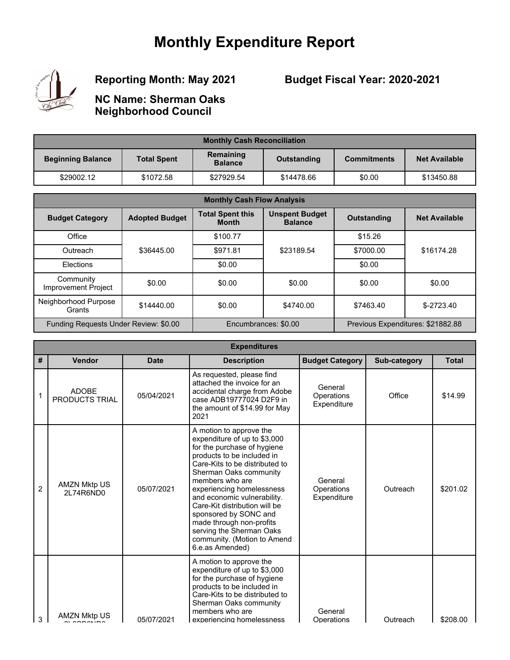## **Monthly Expenditure Report**



## **Reporting Month: May 2021**

## **Budget Fiscal Year: 2020-2021**

**NC Name: Sherman Oaks Neighborhood Council**

| <b>Monthly Cash Reconciliation</b> |                    |                             |             |                    |                      |  |  |
|------------------------------------|--------------------|-----------------------------|-------------|--------------------|----------------------|--|--|
| <b>Beginning Balance</b>           | <b>Total Spent</b> | Remaining<br><b>Balance</b> | Outstanding | <b>Commitments</b> | <b>Net Available</b> |  |  |
| \$29002.12                         | \$1072.58          | \$27929.54                  | \$14478.66  | \$0.00             | \$13450.88           |  |  |

| <b>Monthly Cash Flow Analysis</b>       |                       |                                         |                                         |                                   |                      |  |
|-----------------------------------------|-----------------------|-----------------------------------------|-----------------------------------------|-----------------------------------|----------------------|--|
| <b>Budget Category</b>                  | <b>Adopted Budget</b> | <b>Total Spent this</b><br><b>Month</b> | <b>Unspent Budget</b><br><b>Balance</b> | <b>Outstanding</b>                | <b>Net Available</b> |  |
| Office                                  |                       | \$100.77                                |                                         | \$15.26                           |                      |  |
| Outreach                                | \$36445.00            | \$971.81                                | \$23189.54                              | \$7000.00                         | \$16174.28           |  |
| Elections                               |                       | \$0.00                                  |                                         | \$0.00                            |                      |  |
| Community<br><b>Improvement Project</b> | \$0.00                | \$0.00                                  | \$0.00                                  | \$0.00                            | \$0.00               |  |
| Neighborhood Purpose<br>Grants          | \$14440.00            | \$0.00                                  | \$4740.00                               | \$7463.40                         | $$-2723.40$          |  |
| Funding Requests Under Review: \$0.00   |                       | Encumbrances: \$0.00                    |                                         | Previous Expenditures: \$21882.88 |                      |  |

|                | <b>Expenditures</b>              |             |                                                                                                                                                                                                                                                                                                                                                                                                                                     |                                      |              |              |  |  |
|----------------|----------------------------------|-------------|-------------------------------------------------------------------------------------------------------------------------------------------------------------------------------------------------------------------------------------------------------------------------------------------------------------------------------------------------------------------------------------------------------------------------------------|--------------------------------------|--------------|--------------|--|--|
| #              | Vendor                           | <b>Date</b> | <b>Description</b>                                                                                                                                                                                                                                                                                                                                                                                                                  | <b>Budget Category</b>               | Sub-category | <b>Total</b> |  |  |
| 1              | <b>ADOBE</b><br>PRODUCTS TRIAL   | 05/04/2021  | As requested, please find<br>attached the invoice for an<br>accidental charge from Adobe<br>case ADB19777024 D2F9 in<br>the amount of \$14.99 for May<br>2021                                                                                                                                                                                                                                                                       | General<br>Operations<br>Expenditure | Office       | \$14.99      |  |  |
| $\overline{2}$ | <b>AMZN Mktp US</b><br>2L74R6ND0 | 05/07/2021  | A motion to approve the<br>expenditure of up to \$3,000<br>for the purchase of hygiene<br>products to be included in<br>Care-Kits to be distributed to<br>Sherman Oaks community<br>members who are<br>experiencing homelessness<br>and economic vulnerability.<br>Care-Kit distribution will be<br>sponsored by SONC and<br>made through non-profits<br>serving the Sherman Oaks<br>community. (Motion to Amend<br>6.e.as Amended) | General<br>Operations<br>Expenditure | Outreach     | \$201.02     |  |  |
| 3              | AMZN Mktp US                     | 05/07/2021  | A motion to approve the<br>expenditure of up to \$3,000<br>for the purchase of hygiene<br>products to be included in<br>Care-Kits to be distributed to<br>Sherman Oaks community<br>members who are<br>experiencing homelessness                                                                                                                                                                                                    | General<br>Operations                | Outreach     | \$208.00     |  |  |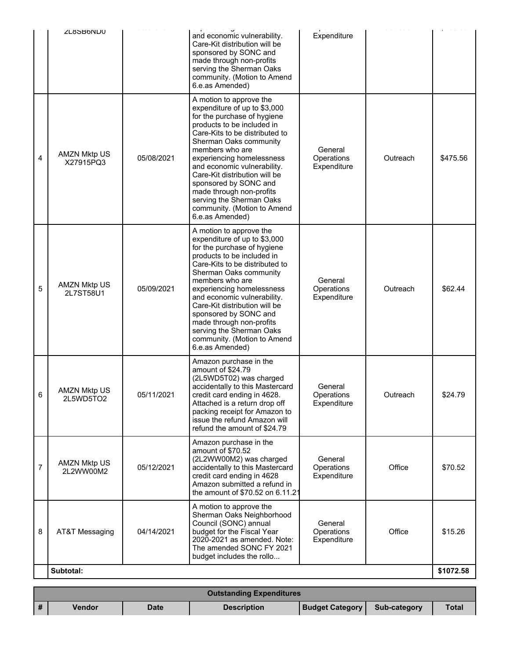|   | <b>ZL8SB6ND0</b>                 |            | and economic vulnerability.<br>Care-Kit distribution will be<br>sponsored by SONC and<br>made through non-profits<br>serving the Sherman Oaks<br>community. (Motion to Amend<br>6.e.as Amended)                                                                                                                                                                                                                                     | Expenditure                          |          |           |
|---|----------------------------------|------------|-------------------------------------------------------------------------------------------------------------------------------------------------------------------------------------------------------------------------------------------------------------------------------------------------------------------------------------------------------------------------------------------------------------------------------------|--------------------------------------|----------|-----------|
| 4 | <b>AMZN Mktp US</b><br>X27915PQ3 | 05/08/2021 | A motion to approve the<br>expenditure of up to \$3,000<br>for the purchase of hygiene<br>products to be included in<br>Care-Kits to be distributed to<br>Sherman Oaks community<br>members who are<br>experiencing homelessness<br>and economic vulnerability.<br>Care-Kit distribution will be<br>sponsored by SONC and<br>made through non-profits<br>serving the Sherman Oaks<br>community. (Motion to Amend<br>6.e.as Amended) | General<br>Operations<br>Expenditure | Outreach | \$475.56  |
| 5 | <b>AMZN Mktp US</b><br>2L7ST58U1 | 05/09/2021 | A motion to approve the<br>expenditure of up to \$3,000<br>for the purchase of hygiene<br>products to be included in<br>Care-Kits to be distributed to<br>Sherman Oaks community<br>members who are<br>experiencing homelessness<br>and economic vulnerability.<br>Care-Kit distribution will be<br>sponsored by SONC and<br>made through non-profits<br>serving the Sherman Oaks<br>community. (Motion to Amend<br>6.e.as Amended) | General<br>Operations<br>Expenditure | Outreach | \$62.44   |
| 6 | <b>AMZN Mktp US</b><br>2L5WD5TO2 | 05/11/2021 | Amazon purchase in the<br>amount of \$24.79<br>(2L5WD5T02) was charged<br>accidentally to this Mastercard<br>credit card ending in 4628.<br>Attached is a return drop off<br>packing receipt for Amazon to<br>issue the refund Amazon will<br>refund the amount of \$24.79                                                                                                                                                          | General<br>Operations<br>Expenditure | Outreach | \$24.79   |
| 7 | <b>AMZN Mktp US</b><br>2L2WW00M2 | 05/12/2021 | Amazon purchase in the<br>amount of \$70.52<br>(2L2WW00M2) was charged<br>accidentally to this Mastercard<br>credit card ending in 4628<br>Amazon submitted a refund in<br>the amount of \$70.52 on 6.11.21                                                                                                                                                                                                                         | General<br>Operations<br>Expenditure | Office   | \$70.52   |
| 8 | AT&T Messaging                   | 04/14/2021 | A motion to approve the<br>Sherman Oaks Neighborhood<br>Council (SONC) annual<br>budget for the Fiscal Year<br>2020-2021 as amended. Note:<br>The amended SONC FY 2021<br>budget includes the rollo                                                                                                                                                                                                                                 | General<br>Operations<br>Expenditure | Office   | \$15.26   |
|   | Subtotal:                        |            |                                                                                                                                                                                                                                                                                                                                                                                                                                     |                                      |          | \$1072.58 |

|              | <b>Outstanding Expenditures</b> |             |                    |                        |              |              |  |  |
|--------------|---------------------------------|-------------|--------------------|------------------------|--------------|--------------|--|--|
| $\mathbf{H}$ | <b>Vendor</b>                   | <b>Date</b> | <b>Description</b> | <b>Budget Category</b> | Sub-category | <b>Total</b> |  |  |